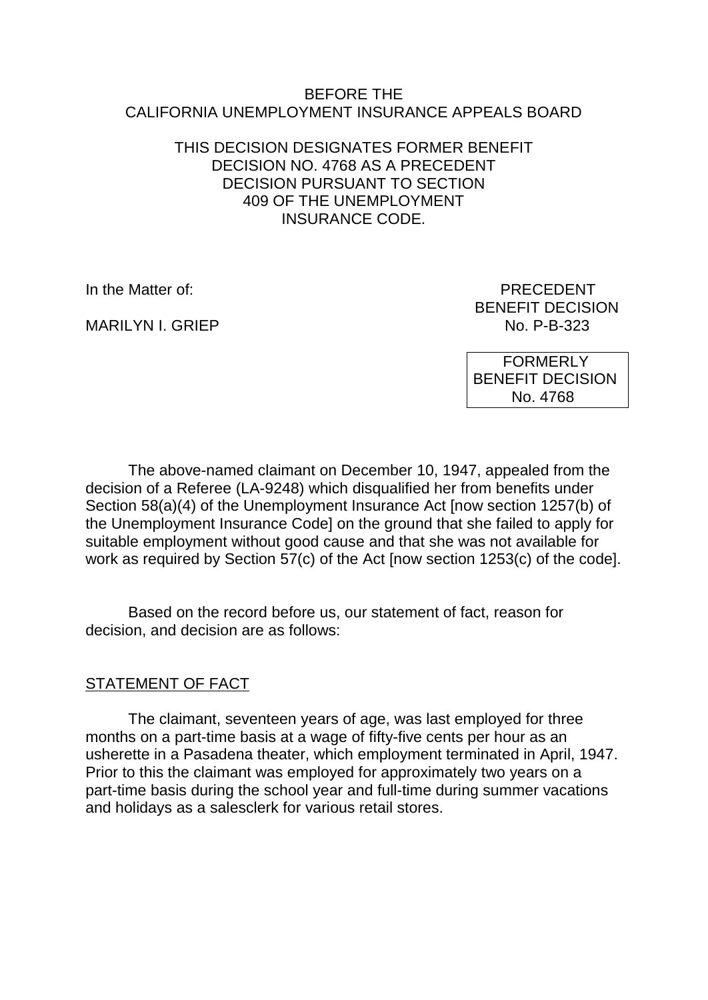#### BEFORE THE CALIFORNIA UNEMPLOYMENT INSURANCE APPEALS BOARD

### THIS DECISION DESIGNATES FORMER BENEFIT DECISION NO. 4768 AS A PRECEDENT DECISION PURSUANT TO SECTION 409 OF THE UNEMPLOYMENT INSURANCE CODE.

MARILYN I. GRIEP NO. P-B-323

In the Matter of: PRECEDENT BENEFIT DECISION

> FORMERLY BENEFIT DECISION No. 4768

The above-named claimant on December 10, 1947, appealed from the decision of a Referee (LA-9248) which disqualified her from benefits under Section 58(a)(4) of the Unemployment Insurance Act [now section 1257(b) of the Unemployment Insurance Code] on the ground that she failed to apply for suitable employment without good cause and that she was not available for work as required by Section 57(c) of the Act [now section 1253(c) of the code].

Based on the record before us, our statement of fact, reason for decision, and decision are as follows:

# STATEMENT OF FACT

The claimant, seventeen years of age, was last employed for three months on a part-time basis at a wage of fifty-five cents per hour as an usherette in a Pasadena theater, which employment terminated in April, 1947. Prior to this the claimant was employed for approximately two years on a part-time basis during the school year and full-time during summer vacations and holidays as a salesclerk for various retail stores.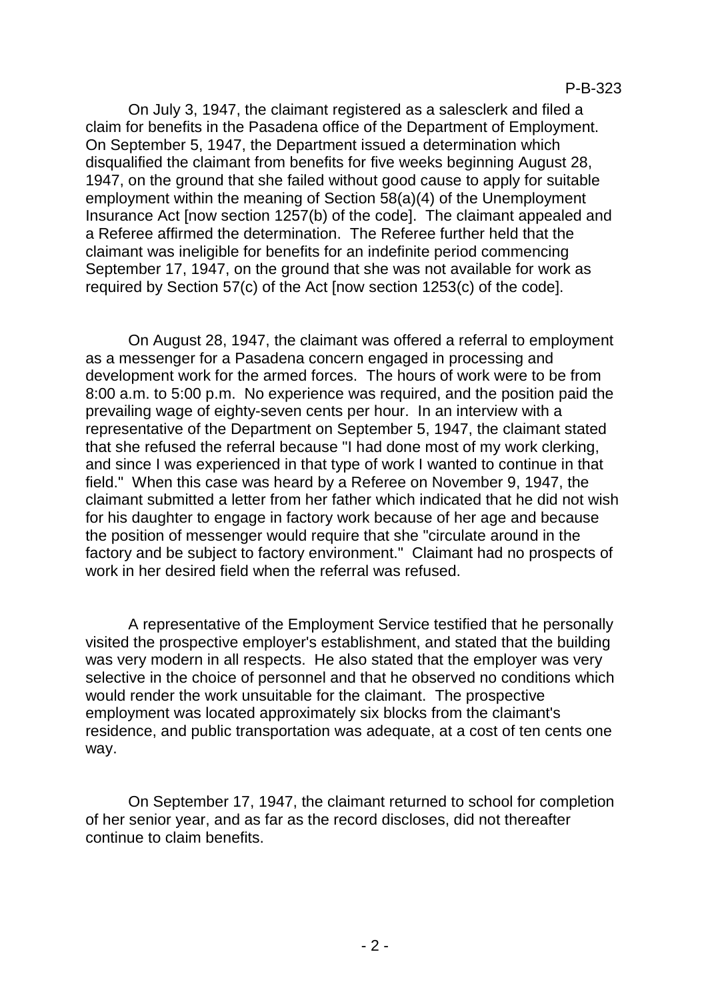On July 3, 1947, the claimant registered as a salesclerk and filed a claim for benefits in the Pasadena office of the Department of Employment. On September 5, 1947, the Department issued a determination which disqualified the claimant from benefits for five weeks beginning August 28, 1947, on the ground that she failed without good cause to apply for suitable employment within the meaning of Section 58(a)(4) of the Unemployment Insurance Act [now section 1257(b) of the code]. The claimant appealed and a Referee affirmed the determination. The Referee further held that the claimant was ineligible for benefits for an indefinite period commencing September 17, 1947, on the ground that she was not available for work as required by Section 57(c) of the Act [now section 1253(c) of the code].

On August 28, 1947, the claimant was offered a referral to employment as a messenger for a Pasadena concern engaged in processing and development work for the armed forces. The hours of work were to be from 8:00 a.m. to 5:00 p.m. No experience was required, and the position paid the prevailing wage of eighty-seven cents per hour. In an interview with a representative of the Department on September 5, 1947, the claimant stated that she refused the referral because "I had done most of my work clerking, and since I was experienced in that type of work I wanted to continue in that field." When this case was heard by a Referee on November 9, 1947, the claimant submitted a letter from her father which indicated that he did not wish for his daughter to engage in factory work because of her age and because the position of messenger would require that she "circulate around in the factory and be subject to factory environment." Claimant had no prospects of work in her desired field when the referral was refused.

A representative of the Employment Service testified that he personally visited the prospective employer's establishment, and stated that the building was very modern in all respects. He also stated that the employer was very selective in the choice of personnel and that he observed no conditions which would render the work unsuitable for the claimant. The prospective employment was located approximately six blocks from the claimant's residence, and public transportation was adequate, at a cost of ten cents one way.

On September 17, 1947, the claimant returned to school for completion of her senior year, and as far as the record discloses, did not thereafter continue to claim benefits.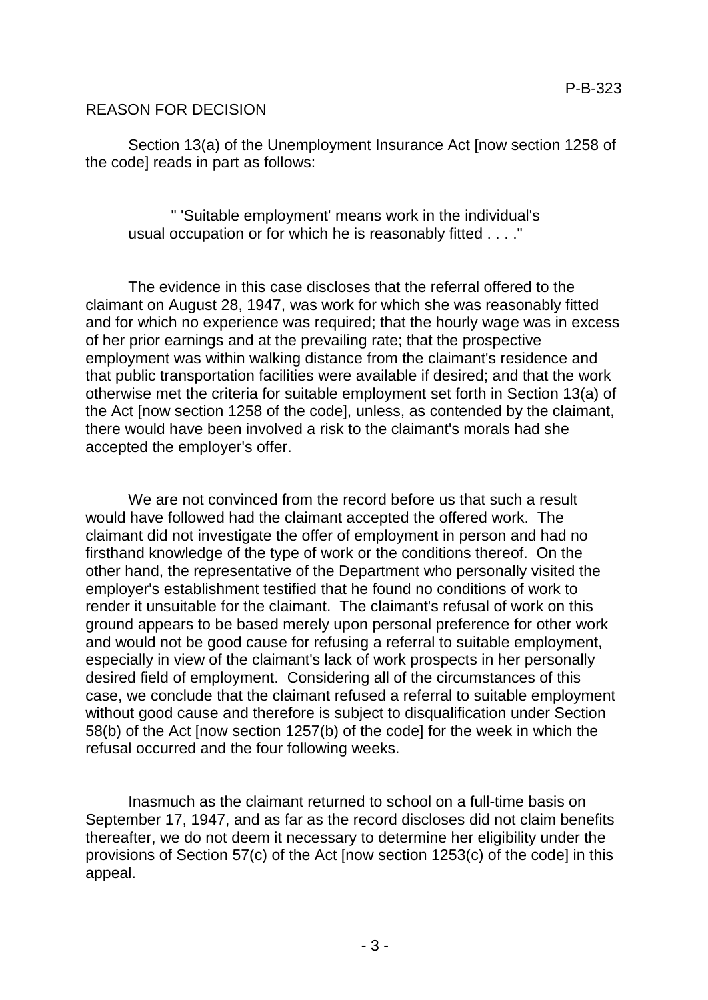### REASON FOR DECISION

Section 13(a) of the Unemployment Insurance Act [now section 1258 of the code] reads in part as follows:

" 'Suitable employment' means work in the individual's usual occupation or for which he is reasonably fitted . . . ."

The evidence in this case discloses that the referral offered to the claimant on August 28, 1947, was work for which she was reasonably fitted and for which no experience was required; that the hourly wage was in excess of her prior earnings and at the prevailing rate; that the prospective employment was within walking distance from the claimant's residence and that public transportation facilities were available if desired; and that the work otherwise met the criteria for suitable employment set forth in Section 13(a) of the Act [now section 1258 of the code], unless, as contended by the claimant, there would have been involved a risk to the claimant's morals had she accepted the employer's offer.

We are not convinced from the record before us that such a result would have followed had the claimant accepted the offered work. The claimant did not investigate the offer of employment in person and had no firsthand knowledge of the type of work or the conditions thereof. On the other hand, the representative of the Department who personally visited the employer's establishment testified that he found no conditions of work to render it unsuitable for the claimant. The claimant's refusal of work on this ground appears to be based merely upon personal preference for other work and would not be good cause for refusing a referral to suitable employment, especially in view of the claimant's lack of work prospects in her personally desired field of employment. Considering all of the circumstances of this case, we conclude that the claimant refused a referral to suitable employment without good cause and therefore is subject to disqualification under Section 58(b) of the Act [now section 1257(b) of the code] for the week in which the refusal occurred and the four following weeks.

Inasmuch as the claimant returned to school on a full-time basis on September 17, 1947, and as far as the record discloses did not claim benefits thereafter, we do not deem it necessary to determine her eligibility under the provisions of Section 57(c) of the Act [now section 1253(c) of the code] in this appeal.